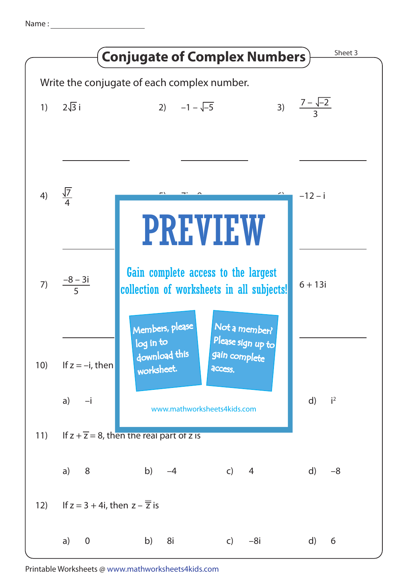